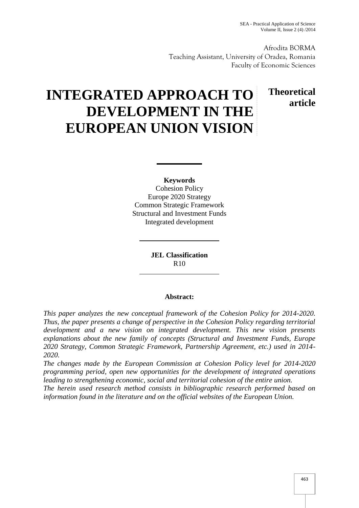**Theoretical**

**article**

Afrodita BORMA Teaching Assistant, University of Oradea, Romania Faculty of Economic Sciences

# **INTEGRATED APPROACH TO DEVELOPMENT IN THE EUROPEAN UNION VISION**

**Keywords** Cohesion Policy Europe 2020 Strategy Common Strategic Framework Structural and Investment Funds Integrated development

> **JEL Classification** R10

## **Abstract:**

*This paper analyzes the new conceptual framework of the Cohesion Policy for 2014-2020. Thus, the paper presents a change of perspective in the Cohesion Policy regarding territorial development and a new vision on integrated development. This new vision presents explanations about the new family of concepts (Structural and Investment Funds, Europe 2020 Strategy, Common Strategic Framework, Partnership Agreement, etc.) used in 2014- 2020.*

*The changes made by the European Commission at Cohesion Policy level for 2014-2020 programming period, open new opportunities for the development of integrated operations leading to strengthening economic, social and territorial cohesion of the entire union.*

*The herein used research method consists in bibliographic research performed based on information found in the literature and on the official websites of the European Union.*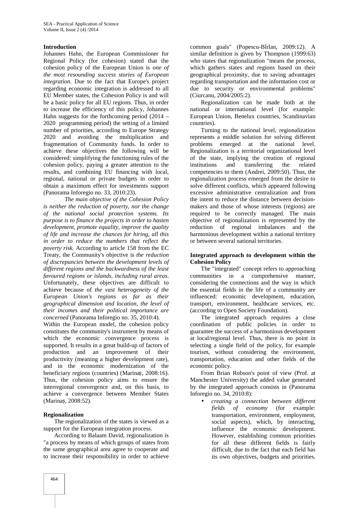## **Introduction**

Johannes Hahn, the European Commissioner for Regional Policy (for cohesion) stated that the cohesion policy of the European Union is *one of the most resounding success stories of European integration.* Due to the fact that Europe's project regarding economic integration is addressed to all EU Member states, the Cohesion Policy is and will be a basic policy for all EU regions. Thus, in order to increase the efficiency of this policy, Johannes Hahn suggests for the forthcoming period  $(2014 -$ 2020 programming period) the setting of a limited number of priorities, according to Europe Strategy 2020 and avoiding the multiplication and fragmentation of Community funds. In order to achieve these objectives the following will be considered: simplifying the functioning rules of the cohesion policy, paying a greater attention to the results, and combining EU financing with local, regional, national or private budgets in order to obtain a maximum effect for investments support (Panorama Inforegio no. 33, 2010:23).

*The main objective of the Cohesion Policy is neither the reduction of poverty, nor the change of the national social protection systems. Its purpose is to finance the projects in order to hasten development, promote equality, improve the quality of life and increase the chances for hiring, all this in order to reduce the numbers that reflect the poverty risk.* According to article 158 from the EC Treaty, the Community's objective is *the reduction of discrepancies between the development levels of different regions and the backwardness of the least favoured regions or islands, including rural areas*. Unfortunately, these objectives are difficult to achieve because of *the vast heterogeneity of the European Union's regions as far as their geographical dimension and location, the level of their incomes and their political importance are concerned* (Panorama Inforegio no. 35, 2010:4).

Within the European model, the cohesion policy constitutes the community's instrument by means of which the economic convergence process is supported. It results in a great build-up of factors of production and an improvement of their productivity (meaning a higher development rate), and in the economic modernization of the beneficiary regions (countries) (Marina , 2008:16). Thus, the cohesion policy aims to ensure the interregional convergence and, on this basis, to achieve a convergence between Member States (Marina , 2008:52).

## **Regionalization**

The regionalization of the states is viewed as a support for the European integration process.

According to Balaam David, regionalization is "a process by means of which groups of states from the same geographical area agree to cooperate and to increase their responsibility in order to achieve

common goals" (Popescu-Bîrlan, 2009:12). A similar definition is given by Thompson (1999:63) who states that regionalization "means the process, which gathers states and regions based on their geographical proximity, due to saving advantages regarding transportation and the information cost or due to security or environmental problems" (Ciurcanu, 2004/2005:2).

Regionalization can be made both at the national or international level (for example: European Union, Benelux countries, Scandinavian countries).

Turning to the national level, regionalization represents a middle solution for solving different problems emerged at the national level. Regionalization is a territorial organizational level of the state, implying the creation of regional institutions and transferring the related competencies to them (Andrei, 2009:50). Thus, the regionalization process emerged from the desire to solve different conflicts, which appeared following excessive administrative centralization and from the intent to reduce the distance between decision makers and those of whose interests (regions) are required to be correctly managed. The main objective of regionalization is represented by the reduction of regional imbalances and the harmonious development within a national territory or between several national territories.

## **Integrated approach to development within the Cohesion Policy**

The "integrated" concept refers to approaching communities in a comprehensive manner, considering the connections and the way in which the essential fields in the life of a community are influenced: economic development, education, transport, environment, healthcare services, etc. (according to Open Society Foundation).

The integrated approach requires a close coordination of public policies in order to guarantee the success of a harmonious development at local/regional level. Thus, there is no point in selecting a single field of the policy, for example tourism, without considering the environment, transportation, education and other fields of the economic policy.

From Brian Robson's point of view (Prof. at Manchester University) the added value generated by the integrated approach consists in (Panorama Inforegio no. 34, 2010:8):

 *creating a connection between different fields of economy* (for example: transportation, environment, employment, social aspects), which, by interacting, influence the economic development. However, establishing common priorities for all these different fields is fairly difficult, due to the fact that each field has its own objectives, budgets and priorities.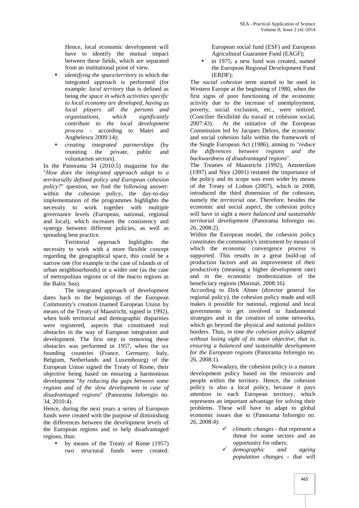Hence, local economic development will have to identify the mutual impact between these fields, which are separated from an institutional point of view.

- *identifying the space/territory* in which the integrated approach is performed (for example: *local territory* that is defined as being *the space in which activities specific to local economy are developed, having as local players all the persons and organizations, which significantly contribute to the local development process* - according to Matei and Anghelescu 2009:14);
- *creating integrated partnerships* (by reuniting the private, public and the voluntarism sectors).

In the Panorama 34 (2010:5) magazine for the "*How does the integrated approach adapt to a territorially defined policy and European cohesion policy?*" question, we find the following answer: within the cohesion policy, the day-to-day implementation of the programmes highlights the necessity to work together with multiple governance levels (European, national, regional and local), which increases the consistency and synergy between different policies, as well as spreading best practice.

Territorial approach highlights the necessity to work with a more flexible concept regarding the geographical space, this could be a narrow one (for example in the case of islands or of urban neighbourhoods) or a wider one (as the case of metropolitan regions or of the macro regions as the Baltic Sea).

The integrated approach of development dates back to the beginnings of the European Community's creation (named European Union by means of the Treaty of Maastricht, signed in 1992), when both territorial and demographic disparities were registered, aspects that constituted real obstacles in the way of European integration and development. The first step in removing these obstacles was performed in 1957, when the six founding countries (France, Germany, Italy, Belgium, Netherlands and Luxembourg) of the European Union signed the Treaty of Rome, their objective being based on ensuring a harmonious development "*by reducing the gaps between some regions and of the slow development in case of disadvantaged regions*" (Panorama Inforegio no. 34, 2010:4).

Hence, during the next years a series of European funds were created with the purpose of diminishing the differences between the development levels of the European regions and to help disadvantaged regions, thus:

 by means of the Treaty of Rome (1957) two structural funds were created: European social fund (ESF) and European Agricultural Guarantee Fund (EAGF);

 in 1975, a new fund was created, named the European Regional Development Fund (ERDF);

The *social cohesion* term started to be used in Western Europe at the beginning of 1980, when the first signs of poor functioning of the economic activity due to the increase of unemployment, poverty, social exclusion, etc., were noticed. (Concilier flexibilité du travail et cohésion social, 2007:43). At the initiative of the European Commission led by Jacques Delors, the economic and social cohesion falls within the framework of the Single European Act (1986), aiming to "*reduce the differences between regions and the backwardness of disadvantaged regions*".

The Treaties of Maastricht (1992), Amsterdam (1997) and Nice (2001) restated the importance of the policy and its scope was even wider by means of the Treaty of Lisbon (2007), which in 2008, introduced the third dimension of the cohesion, namely the *territorial* one. Therefore, besides the economic and social aspect, the cohesion policy will have in sight a *more balanced and sustainable territorial development* (Panorama Inforegio no. 26, 2008:2).

Within the European model, the cohesion policy constitutes the community's instrument by means of which the economic convergence process is supported. This results in a great build-up of production factors and an improvement of their productivity (meaning a higher development rate) and in the economic modernization of the beneficiary regions (Marina , 2008:16).

According to Dirk Ahner (director general for regional policy), the cohesion policy made and still makes it possible for national, regional and local governments to get involved in fundamental strategies and in the creation of some networks, which go beyond the physical and national politics borders. Thus, *in time the cohesion policy adapted without losing sight of its main objective, that is, ensuring a balanced and sustainable development for the European regions* (Panorama Inforegio no.  $26, 2008:1$ .

Nowadays, the cohesion policy is a mature development policy based on the resources and people within the territory. Hence, the cohesion policy is also a local policy, because it pays attention to each European territory, which represents an important advantage for solving their problems. These will have to adapt to global economic issues due to (Panorama Inforegio no. 26, 2008:4):

- *climatic changes* that represent a threat for some sectors and an opportunity for others;
- *demographic and ageing population changes* - that will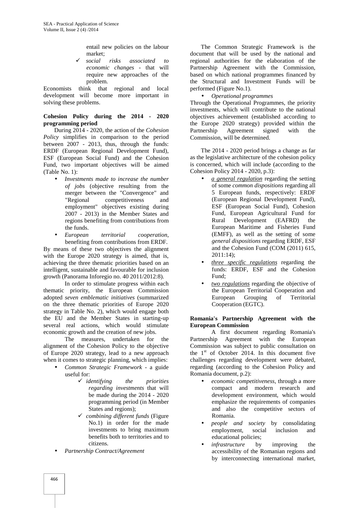entail new policies on the labour market;

 *social risks associated to economic changes* - that will require new approaches of the problem.

Economists think that regional and local development will become more important in solving these problems.

## **Cohesion Policy during the 2014 - 2020 programming period**

During 2014 - 2020, the action of the *Cohesion Policy* simplifies in comparison to the period between 2007 - 2013, thus, through the funds: ERDF (European Regional Development Fund), ESF (European Social Fund) and the Cohesion Fund, two important objectives will be aimed (Table No. 1):

- *Investments made to increase the number of jobs* (objective resulting from the merger between the "Convergence" and "Regional competitiveness and employment" objectives existing during 2007 - 2013) in the Member States and regions benefiting from contributions from the funds.
- *European territorial cooperation*, benefiting from contributions from ERDF.

By means of these two objectives the alignment with the Europe 2020 strategy is aimed, that is, achieving the three thematic priorities based on an intelligent, sustainable and favourable for inclusion growth (Panorama Inforegio no. 40 2011/2012:8).

In order to stimulate progress within each thematic priority, the European Commission adopted *seven emblematic initiatives* (summarized on the three thematic priorities of Europe 2020 strategy in Table No. 2), which would engage both the EU and the Member States in starting-up several real actions, which would stimulate economic growth and the creation of new jobs.

The measures, undertaken for the alignment of the Cohesion Policy to the objective of Europe 2020 strategy, lead to a new approach when it comes to strategic planning, which implies:

- *Common Strategic Framework* -a guide useful for:
	- *identifying the priorities regarding investments* that will be made during the 2014 - 2020 programming period (in Member States and regions);
	- *combining different funds* (Figure No.1) in order for the made investments to bring maximum benefits both to territories and to citizens.
- *Partnership Contract/Agreement*

The Common Strategic Framework is the document that will be used by the national and regional authorities for the elaboration of the Partnership Agreement with the Commission, based on which national programmes financed by the Structural and Investment Funds will be performed (Figure No.1).

 *Operational programmes* Through the Operational Programmes, the priority investments, which will contribute to the national objectives achievement (established according to the Europe 2020 strategy) provided within the Agreement signed with the Commission, will be determined.

The 2014 - 2020 period brings a change as far as the legislative architecture of the cohesion policy is concerned, which will include (according to the Cohesion Policy 2014 - 2020, p.3):

- *a general regulation* regarding the setting of some *common dispositions* regarding all 5 European funds, respectively: ERDF (European Regional Development Fund), ESF (European Social Fund), Cohesion Fund, European Agricultural Fund for Rural Development (EAFRD) the European Maritime and Fisheries Fund (EMFF), as well as the setting of some *general dispositions* regarding ERDF, ESF and the Cohesion Fund (COM (2011) 615, 2011:14);
- *three specific regulations* regarding the funds: ERDF, ESF and the Cohesion Fund;
- *two regulations* regarding the objective of the European Territorial Cooperation and European Grouping of Territorial Cooperation (EGTC).

## **Romania's Partnership Agreement with the European Commission**

A first document regarding Romania's Partnership Agreement with the European Commission was subject to public consultation on the  $1<sup>st</sup>$  of October 2014. In this document five challenges regarding development were debated, regarding (according to the Cohesion Policy and Romania document, p.2):

- *economic competitiveness*, through a more compact and modern research and development environment, which would emphasize the requirements of companies and also the competitive sectors of Romania.
- *people and society* by consolidating employment, social inclusion and educational policies;
- *infrastructure* by improving the accessibility of the Romanian regions and by interconnecting international market,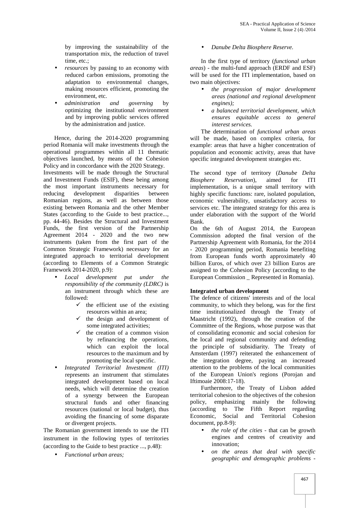by improving the sustainability of the transportation mix, the reduction of travel time, etc.;

- *resources* by passing to an economy with reduced carbon emissions, promoting the adaptation to environmental changes, making resources efficient, promoting the environment, etc.
- *administration and governing* by optimizing the institutional environment and by improving public services offered by the administration and justice.

Hence, during the 2014-2020 programming period Romania will make investments through the operational programmes within all 11 thematic objectives launched, by means of the Cohesion Policy and in concordance with the 2020 Strategy. Investments will be made through the Structural and Investment Funds (ESIF), these being among the most important instruments necessary for reducing development disparities between Romanian regions, as well as between those existing between Romania and the other Member States (according to the Guide to best practice..., pp. 44-46). Besides the Structural and Investment Funds, the first version of the Partnership Agreement 2014 -2020 and the two new instruments (taken from the first part of the Common Strategic Framework) necessary for an integrated approach to territorial development (according to Elements of a Common Strategic Framework 2014-2020, p.9):

- *Local development put under the responsibility of the community (LDRC)* is an instrument through which these are followed:
	- $\checkmark$  the efficient use of the existing resources within an area;
	- the design and development of some integrated activities;
	- the creation of a common vision by refinancing the operations, which can exploit the local resources to the maximum and by promoting the local specific.
- *Integrated Territorial Investment (ITI)* represents an instrument that stimulates integrated development based on local needs, which will determine the creation of a synergy between the European structural funds and other financing resources (national or local budget), thus avoiding the financing of some disparate or divergent projects.

The Romanian government intends to use the ITI instrument in the following types of territories (according to the Guide to best practice ..., p.48):

*Functional urban areas;*

## *Danube Delta Biosphere Reserve.*

In the first type of territory (*functional urban areas*) - the multi-fund approach (ERDF and ESF) will be used for the ITI implementation, based on two main objectives:

- *the progression of major development areas (national and regional development engines);*
- *a balanced territorial development, which ensures equitable access to general interest services.*

The determination of *functional urban areas* will be made, based on complex criteria, for example: areas that have a higher concentration of population and economic activity, areas that have specific integrated development strategies etc.

The second type of territory (*Danube Delta Biosphere Reservation*), aimed for ITI implementation, is a unique small territory with highly specific functions: rare, isolated population, economic vulnerability, unsatisfactory access to services etc. The integrated strategy for this area is under elaboration with the support of the World Bank.

On the 6th of August 2014, the European Commission adopted the final version of the Partnership Agreement with Romania, for the 2014 - 2020 programming period, Romania benefiting from European funds worth approximately 40 billion Euros, of which over 23 billion Euros are assigned to the Cohesion Policy (according to the European Commission \_ Represented in Romania).

## **Integrated urban development**

The defence of citizens' interests and of the local community, to which they belong, was for the first time institutionalized through the Treaty of Maastricht (1992), through the creation of the Committee of the Regions, whose purpose was that of consolidating economic and social cohesion for the local and regional community and defending the principle of subsidiarity. The Treaty of Amsterdam (1997) reiterated the enhancement of the integration degree, paying an increased attention to the problems of the local communities of the European Union's regions (Porojan and Iftimoaie 2008:17-18).

Furthermore, the Treaty of Lisbon added territorial cohesion to the objectives of the cohesion policy, emphasizing mainly the following (according to The Fifth Report regarding Economic, Social and Territorial Cohesion document, pp.8-9):

- *the role of the cities* that can be growth engines and centres of creativity and innovation;
- *on the areas that deal with specific geographic and demographic problems -*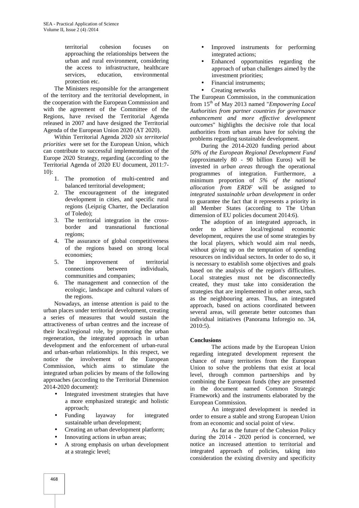territorial cohesion focuses on approaching the relationships between the urban and rural environment, considering the access to infrastructure, healthcare services, education, environmental protection etc.

The Ministers responsible for the arrangement of the territory and the territorial development, in the cooperation with the European Commission and with the agreement of the Committee of the Regions, have revised the Territorial Agenda released in 2007 and have designed the Territorial Agenda of the European Union 2020 (AT 2020).

Within Territorial Agenda 2020 *six territorial priorities* were set for the European Union, which can contribute to successful implementation of the Europe 2020 Strategy, regarding (according to the Territorial Agenda of 2020 EU document, 2011:7- 10):

- 1. The promotion of multi-centred and balanced territorial development;
- 2. The encouragement of the integrated development in cities, and specific rural regions (Leipzig Charter, the Declaration of Toledo);
- 3. The territorial integration in the cross border and transnational functional regions;
- 4. The assurance of global competitiveness of the regions based on strong local economies;
- 5. The improvement of territorial connections between individuals, communities and companies;
- 6. The management and connection of the ecologic, landscape and cultural values of the regions.

Nowadays, an intense attention is paid to the urban places under territorial development, creating a series of measures that would sustain the attractiveness of urban centres and the increase of their local/regional role, by promoting the urban regeneration, the integrated approach in urban development and the enforcement of urban-rural and urban-urban relationships. In this respect, we notice the involvement of the European Commission, which aims to stimulate the integrated urban policies by means of the following approaches (according to the Territorial Dimension 2014-2020 document):

- Integrated investment strategies that have a more emphasized strategic and holistic approach;
- Funding layaway for integrated sustainable urban development;
- Creating an urban development platform;
- Innovating actions in urban areas;
- A strong emphasis on urban development at a strategic level;
- Improved instruments for performing integrated actions;
- Enhanced opportunities regarding the approach of urban challenges aimed by the investment priorities;
- Financial instruments;
- Creating networks

The European Commission, in the communication from 15th of May 2013 named "*Empowering Local Authorities from partner countries for governance enhancement and more effective development outcomes*" highlights the decisive role that local authorities from urban areas have for solving the problems regarding sustainable development.

During the 2014-2020 funding period about *50% of the European Regional Development Fund* (approximately 80 - 90 billion Euros) will be invested in *urban areas* through the operational programmes of integration. Furthermore, a minimum proportion of *5% of the national allocation from ERDF* will be assigned to *integrated sustainable urban development* in order to guarantee the fact that it represents a priority in all Member States (according to The Urban dimension of EU policies document 2014:6).

The adoption of an integrated approach, in order to achieve local/regional economic development, requires the use of some strategies by the local players, which would aim real needs, without giving up on the temptation of spending resources on individual sectors. In order to do so, it is necessary to establish some objectives and goals based on the analysis of the region's difficulties. Local strategies must not be disconnectedly created, they must take into consideration the strategies that are implemented in other areas, such as the neighbouring areas. Thus, an integrated approach, based on actions coordinated between several areas, will generate better outcomes than individual initiatives (Panorama Inforegio no. 34, 2010:5).

## **Conclusions**

The actions made by the European Union regarding integrated development represent the chance of many territories from the European Union to solve the problems that exist at local level, through common partnerships and by combining the European funds (they are presented in the document named Common Strategic Framework) and the instruments elaborated by the European Commission.

An integrated development is needed in order to ensure a stable and strong European Union from an economic and social point of view.

As far as the future of the Cohesion Policy during the 2014 - 2020 period is concerned, we notice an increased attention to territorial and integrated approach of policies, taking into consideration the existing diversity and specificity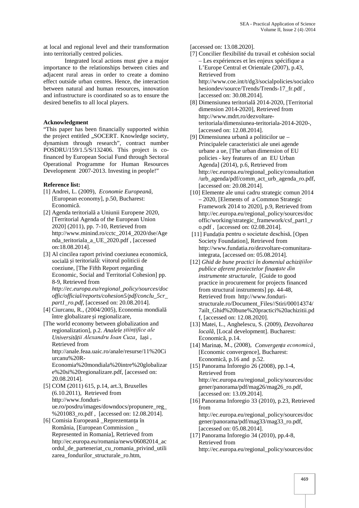at local and regional level and their transformation into territorially centred policies.

Integrated local actions must give a major importance to the relationships between cities and adjacent rural areas in order to create a domino effect outside urban centres. Hence, the interaction between natural and human resources, innovation and infrastructure is coordinated so as to ensure the desired benefits to all local players.

## **Acknowledgment**

"This paper has been financially supported within the project entitled "SOCERT. Knowledge society, dynamism through research", contract number POSDRU/159/1.5/S/132406. This project is cofinanced by European Social Fund through Sectoral Operational Programme for Human Resources Development 2007-2013. Investing in people!"

## **Reference list:**

- [1] Andrei, L. (2009), *Economie European*, [European economy], p.50, Bucharest: Economic.
- [2] Agenda teritorial a Uniunii Europene 2020, [Territorial Agenda of the European Union 2020] (2011), pp. 7-10, Retrieved from http://www.minind.ro/cctc\_2014\_2020/dse/Age nda\_teritoriala\_a\_UE\_2020.pdf , [accessed on:18.08.2014].
- [3] Al cincilea raport privind coeziunea economic, social i teritorial : viitorul politicii de coeziune, [The Fifth Report regarding Economic, Social and Territorial Cohesion] pp. 8-9, Retrieved from *http://ec.europa.eu/regional\_policy/sources/doc offic/official/reports/cohesion5/pdf/conclu\_5cr\_*
- *part1\_ro.pdf*, [accessed on: 20.08.2014].  $[4]$  Ciurcanu, R.,  $(2004/2005)$ , Economia mondial între globalizare i regionalizare,
- [The world economy between globalization and regionalization], p.2. *Analele științifice ale Universit ții Alexandru Ioan Cuza*, Ia i, Retrieved from

http://anale.feaa.uaic.ro/anale/resurse/11%20Ci urcanu%20R-

Economia%20mondiala%20intre%20globalizar e%20si%20regionalizare.pdf, [accessed on: 20.08.2014].

- [5] COM (2011) 615, p.14, art.3, Bruxelles (6.10.2011), Retrieved from http://www.fonduri ue.ro/posdru/images/downdocs/propunere\_reg\_ %201083\_ro.pdf , [accessed on: 12.08.2014].
- [6] Comisia European \_Reprezentanța în România, [European Commission \_ Represented in Romania], Retrieved from http://ec.europa.eu/romania/news/06082014\_ac ordul\_de\_parteneriat\_cu\_romania\_privind\_utili zarea fondurilor structurale ro.htm,

[accessed on: 13.08.2020].

- [7] Concilier flexibilité du travail et cohésion social – Les expériences et les enjeux spécifique a L'Europe Central et Orientale (2007), p.43, Retrieved from http://www.coe.int/t/dg3/socialpolicies/socialco hesiondev/source/Trends/Trends-17\_fr.pdf , [accessed on: 30.08.2014].
- [8] Dimensiunea teritorial 2014-2020, [Territorial] dimension 2014-2020], Retrieved from http://www.mdrt.ro/dezvoltareteritoriala/dimensiunea-teritoriala-2014-2020-, [accessed on: 12.08.2014].
- [9] Dimensiunea urban  $\alpha$  politicilor ue Principalele caracteristici ale unei agende urbane a ue, [The urban dimension of EU policies - key features of an EU Urban Agenda] (2014), p.6, Retrieved from http://ec.europa.eu/regional\_policy/consultation /urb\_agenda/pdf/comm\_act\_urb\_agenda\_ro.pdf, [accessed on: 20.08.2014].
- [10] Elemente ale unui cadru strategic comun 2014 – 2020, [Elements of a Common Strategic Framework 2014 to 2020], p.9, Retrieved from http://ec.europa.eu/regional\_policy/sources/doc offic/working/strategic\_framework/csf\_part1\_r o.pdf , [accessed on: 02.08.2014].
- [11] Fundația pentru o societate deschisă, [Open Society Foundation], Retrieved from http://www.fundatia.ro/dezvoltare-comunitaraintegrata, [accessed on: 05.08.2014].
- [12] *Ghid de bune practici în domeniul achizițiilor publice aferent proiectelor finanțate din instrumente structurale*, [Guide to good practice in procurement for projects financed from structural instruments] pp. 44-48, Retrieved from http://www.fonduri structurale.ro/Document\_Files//Stiri/00014374/ 7ailt\_Ghid%20bune%20practici%20achizitii.pd f, [accessed on: 12.08.2020].
- [13] Matei, L., Anghelescu, S. (2009), *Dezvoltarea local*, [Local development]. Bucharest: Economic, p.14.
- [14] Marinaș, M., (2008), *Convergența economică*, [Economic convergence], Bucharest: Economic, p.16 and p.52.
- [15] Panorama Inforegio 26 (2008), pp.1-4, Retrieved from http://ec.europa.eu/regional\_policy/sources/doc gener/panorama/pdf/mag26/mag26\_ro.pdf, [accessed on: 13.09.2014].
- [16] Panorama Inforegio 33 (2010), p.23, Retrieved from http://ec.europa.eu/regional\_policy/sources/doc gener/panorama/pdf/mag33/mag33\_ro.pdf, [accessed on: 05.08.2014].
- [17] Panorama Inforegio 34 (2010), pp.4-8, Retrieved from http://ec.europa.eu/regional\_policy/sources/doc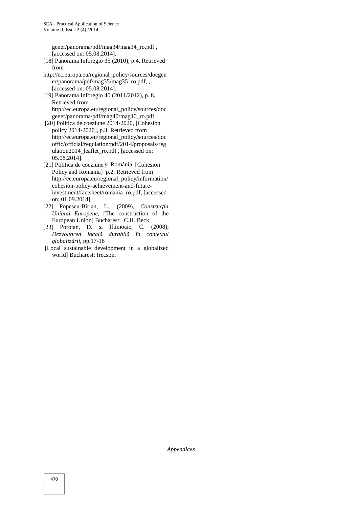gener/panorama/pdf/mag34/mag34\_ro.pdf , [accessed on: 05.08.2014].

- [18] Panorama Inforegio 35 (2010), p.4, Retrieved from
- http://ec.europa.eu/regional\_policy/sources/docgen er/panorama/pdf/mag35/mag35\_ro.pdf, , [accessed on: 05.08.2014].
- [19] Panorama Inforegio 40 (2011/2012), p. 8, Retrieved from http://ec.europa.eu/regional\_policy/sources/doc gener/panorama/pdf/mag40/mag40\_ro.pdf
- [20] Politica de coeziune 2014-2020, [Cohesion policy 2014-2020], p.3, Retrieved from http://ec.europa.eu/regional\_policy/sources/doc offic/official/regulation/pdf/2014/proposals/reg ulation2014\_leaflet\_ro.pdf , [accessed on: 05.08.2014].
- [21] Politica de coeziune i România, [Cohesion Policy and Romania] p.2, Retrieved from http://ec.europa.eu/regional\_policy/information/ cohesion-policy-achievement-and-futureinvestment/factsheet/romania\_ro.pdf, [accessed on: 01.09.2014]
- [22] Popescu-Bîrlan, L., (2009), *Construcția Uniunii Europene*, [The construction of the European Union] Bucharest: C.H. Beck,
- [23] Porojan, D. i Iftimoaie, C. (2008), *Dezvoltarea locală durabilă în contextul globaliz rii*, pp.17-18
- [Local sustainable development in a globalized world] Bucharest: Irecson.

*Appendices*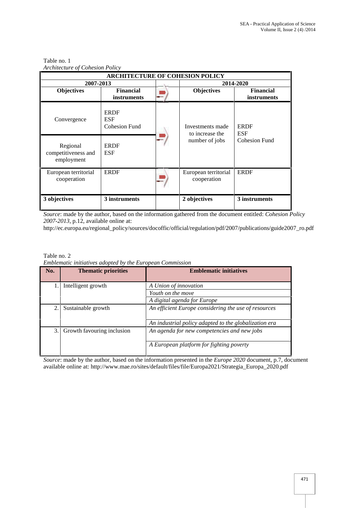| <b>ARCHITECTURE OF COHESION POLICY</b>        |                                            |   |                                     |                                        |  |  |
|-----------------------------------------------|--------------------------------------------|---|-------------------------------------|----------------------------------------|--|--|
| 2007-2013                                     |                                            |   | 2014-2020                           |                                        |  |  |
| <b>Objectives</b>                             | <b>Financial</b><br>instruments            |   | Objectives                          | <b>Financial</b><br><i>instruments</i> |  |  |
| Convergence                                   | <b>ERDF</b><br>ESF<br><b>Cohesion Fund</b> |   | Investments made<br>to increase the | <b>ERDF</b><br><b>ESF</b>              |  |  |
| Regional<br>competitiveness and<br>employment | <b>ERDF</b><br>ESF                         |   | number of jobs                      | <b>Cohesion Fund</b>                   |  |  |
| European territorial<br>cooperation           | <b>ERDF</b>                                | - | European territorial<br>cooperation | <b>ERDF</b>                            |  |  |
| 3 objectives                                  | 3 instruments                              |   | 2 objectives                        | 3 instruments                          |  |  |

## Table no. 1 *Architecture of Cohesion Policy*

*Source*: made by the author, based on the information gathered from the document entitled: *Cohesion Policy 2007-2013,* p.12, available online at:

http://ec.europa.eu/regional\_policy/sources/docoffic/official/regulation/pdf/2007/publications/guide2007\_ro.pdf

Table no. 2

|  |  | Emblematic initiatives adopted by the European Commission |  |
|--|--|-----------------------------------------------------------|--|
|  |  |                                                           |  |

| No. | <b>Thematic priorities</b> | <b>Emblematic initiatives</b>                                                                                 |
|-----|----------------------------|---------------------------------------------------------------------------------------------------------------|
|     | Intelligent growth         | A Union of innovation<br>Youth on the move<br>A digital agenda for Europe                                     |
| 2.  | Sustainable growth         | An efficient Europe considering the use of resources<br>An industrial policy adapted to the globalization era |
| 3.  | Growth favouring inclusion | An agenda for new competencies and new jobs<br>A European platform for fighting poverty                       |

*Source*: made by the author, based on the information presented in the *Europe 2020* document, p.7, document available online at: http://www.mae.ro/sites/default/files/file/Europa2021/Strategia\_Europa\_2020.pdf